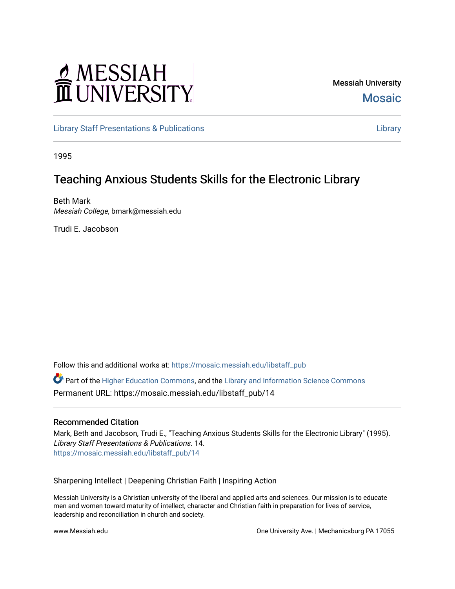# MESSIAH

Messiah University **Mosaic** 

[Library Staff Presentations & Publications](https://mosaic.messiah.edu/libstaff_pub) [Library](https://mosaic.messiah.edu/library) 

1995

# Teaching Anxious Students Skills for the Electronic Library

Beth Mark Messiah College, bmark@messiah.edu

Trudi E. Jacobson

Follow this and additional works at: [https://mosaic.messiah.edu/libstaff\\_pub](https://mosaic.messiah.edu/libstaff_pub?utm_source=mosaic.messiah.edu%2Flibstaff_pub%2F14&utm_medium=PDF&utm_campaign=PDFCoverPages) 

Part of the [Higher Education Commons,](http://network.bepress.com/hgg/discipline/1245?utm_source=mosaic.messiah.edu%2Flibstaff_pub%2F14&utm_medium=PDF&utm_campaign=PDFCoverPages) and the [Library and Information Science Commons](http://network.bepress.com/hgg/discipline/1018?utm_source=mosaic.messiah.edu%2Flibstaff_pub%2F14&utm_medium=PDF&utm_campaign=PDFCoverPages)  Permanent URL: https://mosaic.messiah.edu/libstaff\_pub/14

#### Recommended Citation

Mark, Beth and Jacobson, Trudi E., "Teaching Anxious Students Skills for the Electronic Library" (1995). Library Staff Presentations & Publications. 14. [https://mosaic.messiah.edu/libstaff\\_pub/14](https://mosaic.messiah.edu/libstaff_pub/14?utm_source=mosaic.messiah.edu%2Flibstaff_pub%2F14&utm_medium=PDF&utm_campaign=PDFCoverPages) 

Sharpening Intellect | Deepening Christian Faith | Inspiring Action

Messiah University is a Christian university of the liberal and applied arts and sciences. Our mission is to educate men and women toward maturity of intellect, character and Christian faith in preparation for lives of service, leadership and reconciliation in church and society.

www.Messiah.edu **One University Ave. | Mechanicsburg PA 17055**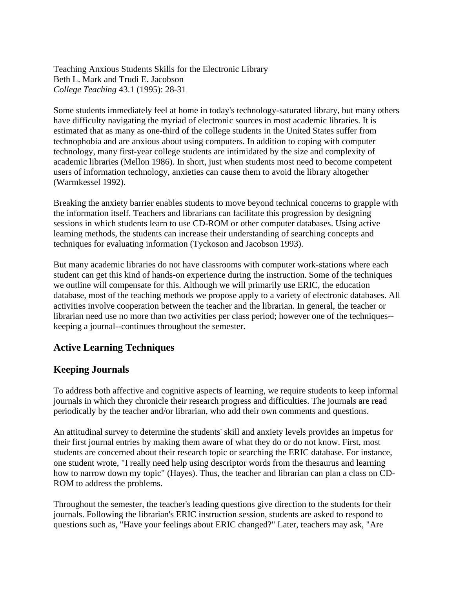Teaching Anxious Students Skills for the Electronic Library Beth L. Mark and Trudi E. Jacobson *College Teaching* 43.1 (1995): 28-31

Some students immediately feel at home in today's technology-saturated library, but many others have difficulty navigating the myriad of electronic sources in most academic libraries. It is estimated that as many as one-third of the college students in the United States suffer from technophobia and are anxious about using computers. In addition to coping with computer technology, many first-year college students are intimidated by the size and complexity of academic libraries (Mellon 1986). In short, just when students most need to become competent users of information technology, anxieties can cause them to avoid the library altogether (Warmkessel 1992).

Breaking the anxiety barrier enables students to move beyond technical concerns to grapple with the information itself. Teachers and librarians can facilitate this progression by designing sessions in which students learn to use CD-ROM or other computer databases. Using active learning methods, the students can increase their understanding of searching concepts and techniques for evaluating information (Tyckoson and Jacobson 1993).

But many academic libraries do not have classrooms with computer work-stations where each student can get this kind of hands-on experience during the instruction. Some of the techniques we outline will compensate for this. Although we will primarily use ERIC, the education database, most of the teaching methods we propose apply to a variety of electronic databases. All activities involve cooperation between the teacher and the librarian. In general, the teacher or librarian need use no more than two activities per class period; however one of the techniques- keeping a journal--continues throughout the semester.

# **Active Learning Techniques**

# **Keeping Journals**

To address both affective and cognitive aspects of learning, we require students to keep informal journals in which they chronicle their research progress and difficulties. The journals are read periodically by the teacher and/or librarian, who add their own comments and questions.

An attitudinal survey to determine the students' skill and anxiety levels provides an impetus for their first journal entries by making them aware of what they do or do not know. First, most students are concerned about their research topic or searching the ERIC database. For instance, one student wrote, "I really need help using descriptor words from the thesaurus and learning how to narrow down my topic" (Hayes). Thus, the teacher and librarian can plan a class on CD-ROM to address the problems.

Throughout the semester, the teacher's leading questions give direction to the students for their journals. Following the librarian's ERIC instruction session, students are asked to respond to questions such as, "Have your feelings about ERIC changed?" Later, teachers may ask, "Are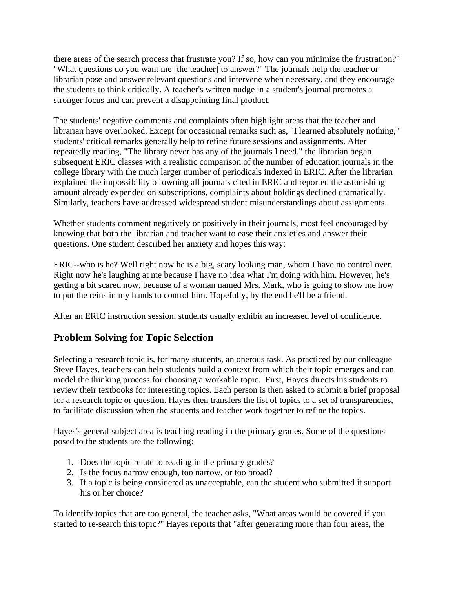there areas of the search process that frustrate you? If so, how can you minimize the frustration?" "What questions do you want me [the teacher] to answer?" The journals help the teacher or librarian pose and answer relevant questions and intervene when necessary, and they encourage the students to think critically. A teacher's written nudge in a student's journal promotes a stronger focus and can prevent a disappointing final product.

The students' negative comments and complaints often highlight areas that the teacher and librarian have overlooked. Except for occasional remarks such as, "I learned absolutely nothing," students' critical remarks generally help to refine future sessions and assignments. After repeatedly reading, "The library never has any of the journals I need," the librarian began subsequent ERIC classes with a realistic comparison of the number of education journals in the college library with the much larger number of periodicals indexed in ERIC. After the librarian explained the impossibility of owning all journals cited in ERIC and reported the astonishing amount already expended on subscriptions, complaints about holdings declined dramatically. Similarly, teachers have addressed widespread student misunderstandings about assignments.

Whether students comment negatively or positively in their journals, most feel encouraged by knowing that both the librarian and teacher want to ease their anxieties and answer their questions. One student described her anxiety and hopes this way:

ERIC--who is he? Well right now he is a big, scary looking man, whom I have no control over. Right now he's laughing at me because I have no idea what I'm doing with him. However, he's getting a bit scared now, because of a woman named Mrs. Mark, who is going to show me how to put the reins in my hands to control him. Hopefully, by the end he'll be a friend.

After an ERIC instruction session, students usually exhibit an increased level of confidence.

# **Problem Solving for Topic Selection**

Selecting a research topic is, for many students, an onerous task. As practiced by our colleague Steve Hayes, teachers can help students build a context from which their topic emerges and can model the thinking process for choosing a workable topic. First, Hayes directs his students to review their textbooks for interesting topics. Each person is then asked to submit a brief proposal for a research topic or question. Hayes then transfers the list of topics to a set of transparencies, to facilitate discussion when the students and teacher work together to refine the topics.

Hayes's general subject area is teaching reading in the primary grades. Some of the questions posed to the students are the following:

- 1. Does the topic relate to reading in the primary grades?
- 2. Is the focus narrow enough, too narrow, or too broad?
- 3. If a topic is being considered as unacceptable, can the student who submitted it support his or her choice?

To identify topics that are too general, the teacher asks, "What areas would be covered if you started to re-search this topic?" Hayes reports that "after generating more than four areas, the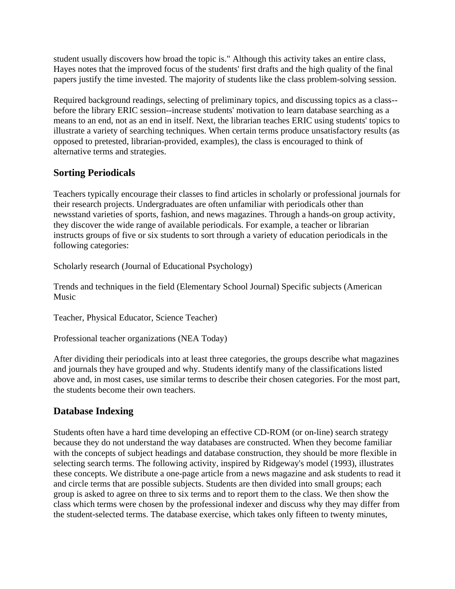student usually discovers how broad the topic is." Although this activity takes an entire class, Hayes notes that the improved focus of the students' first drafts and the high quality of the final papers justify the time invested. The majority of students like the class problem-solving session.

Required background readings, selecting of preliminary topics, and discussing topics as a class- before the library ERIC session--increase students' motivation to learn database searching as a means to an end, not as an end in itself. Next, the librarian teaches ERIC using students' topics to illustrate a variety of searching techniques. When certain terms produce unsatisfactory results (as opposed to pretested, librarian-provided, examples), the class is encouraged to think of alternative terms and strategies.

### **[Sorting Periodicals](http://web.a.ebscohost.com.ezproxy.messiah.edu/ehost/detail/detail?vid=8&sid=73f1b19f-2d52-4465-aa2d-ab554074b7c5%40sessionmgr4006&bdata=JnNpdGU9ZWhvc3QtbGl2ZSZzY29wZT1zaXRl#toc)**

Teachers typically encourage their classes to find articles in scholarly or professional journals for their research projects. Undergraduates are often unfamiliar with periodicals other than newsstand varieties of sports, fashion, and news magazines. Through a hands-on group activity, they discover the wide range of available periodicals. For example, a teacher or librarian instructs groups of five or six students to sort through a variety of education periodicals in the following categories:

Scholarly research (Journal of Educational Psychology)

Trends and techniques in the field (Elementary School Journal) Specific subjects (American Music

Teacher, Physical Educator, Science Teacher)

Professional teacher organizations (NEA Today)

After dividing their periodicals into at least three categories, the groups describe what magazines and journals they have grouped and why. Students identify many of the classifications listed above and, in most cases, use similar terms to describe their chosen categories. For the most part, the students become their own teachers.

# **Database Indexing**

Students often have a hard time developing an effective CD-ROM (or on-line) search strategy because they do not understand the way databases are constructed. When they become familiar with the concepts of subject headings and database construction, they should be more flexible in selecting search terms. The following activity, inspired by Ridgeway's model (1993), illustrates these concepts. We distribute a one-page article from a news magazine and ask students to read it and circle terms that are possible subjects. Students are then divided into small groups; each group is asked to agree on three to six terms and to report them to the class. We then show the class which terms were chosen by the professional indexer and discuss why they may differ from the student-selected terms. The database exercise, which takes only fifteen to twenty minutes,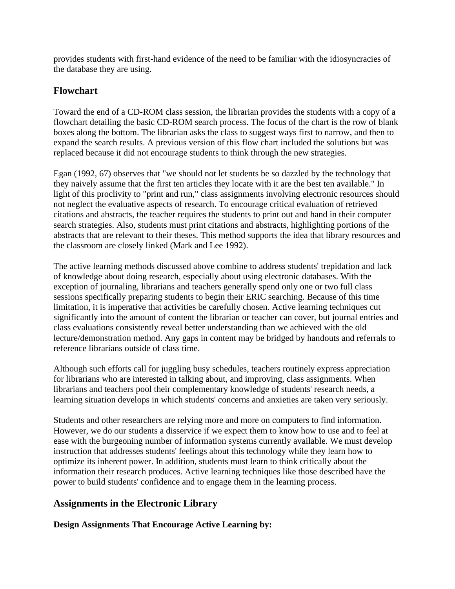provides students with first-hand evidence of the need to be familiar with the idiosyncracies of the database they are using.

#### **Flowchart**

Toward the end of a CD-ROM class session, the librarian provides the students with a copy of a flowchart detailing the basic CD-ROM search process. The focus of the chart is the row of blank boxes along the bottom. The librarian asks the class to suggest ways first to narrow, and then to expand the search results. A previous version of this flow chart included the solutions but was replaced because it did not encourage students to think through the new strategies.

Egan (1992, 67) observes that "we should not let students be so dazzled by the technology that they naively assume that the first ten articles they locate with it are the best ten available." In light of this proclivity to "print and run," class assignments involving electronic resources should not neglect the evaluative aspects of research. To encourage critical evaluation of retrieved citations and abstracts, the teacher requires the students to print out and hand in their computer search strategies. Also, students must print citations and abstracts, highlighting portions of the abstracts that are relevant to their theses. This method supports the idea that library resources and the classroom are closely linked (Mark and Lee 1992).

The active learning methods discussed above combine to address students' trepidation and lack of knowledge about doing research, especially about using electronic databases. With the exception of journaling, librarians and teachers generally spend only one or two full class sessions specifically preparing students to begin their ERIC searching. Because of this time limitation, it is imperative that activities be carefully chosen. Active learning techniques cut significantly into the amount of content the librarian or teacher can cover, but journal entries and class evaluations consistently reveal better understanding than we achieved with the old lecture/demonstration method. Any gaps in content may be bridged by handouts and referrals to reference librarians outside of class time.

Although such efforts call for juggling busy schedules, teachers routinely express appreciation for librarians who are interested in talking about, and improving, class assignments. When librarians and teachers pool their complementary knowledge of students' research needs, a learning situation develops in which students' concerns and anxieties are taken very seriously.

Students and other researchers are relying more and more on computers to find information. However, we do our students a disservice if we expect them to know how to use and to feel at ease with the burgeoning number of information systems currently available. We must develop instruction that addresses students' feelings about this technology while they learn how to optimize its inherent power. In addition, students must learn to think critically about the information their research produces. Active learning techniques like those described have the power to build students' confidence and to engage them in the learning process.

# **Assignments in the Electronic Library**

**Design Assignments That Encourage Active Learning by:**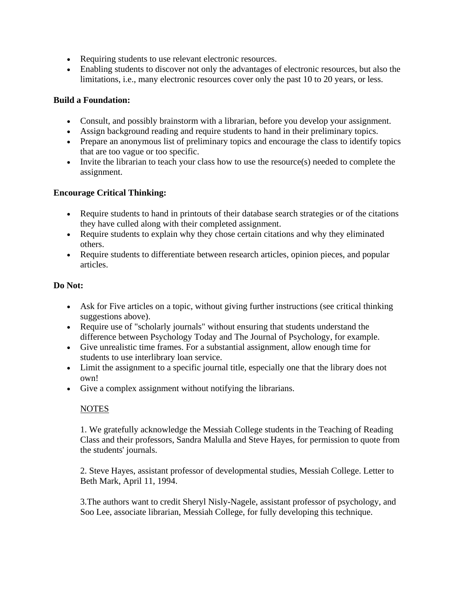- Requiring students to use relevant electronic resources.
- Enabling students to discover not only the advantages of electronic resources, but also the limitations, i.e., many electronic resources cover only the past 10 to 20 years, or less.

#### **Build a Foundation:**

- Consult, and possibly brainstorm with a librarian, before you develop your assignment.
- Assign background reading and require students to hand in their preliminary topics.
- Prepare an anonymous list of preliminary topics and encourage the class to identify topics that are too vague or too specific.
- Invite the librarian to teach your class how to use the resource(s) needed to complete the assignment.

#### **Encourage Critical Thinking:**

- Require students to hand in printouts of their database search strategies or of the citations they have culled along with their completed assignment.
- Require students to explain why they chose certain citations and why they eliminated others.
- Require students to differentiate between research articles, opinion pieces, and popular articles.

#### **Do Not:**

- Ask for Five articles on a topic, without giving further instructions (see critical thinking suggestions above).
- Require use of "scholarly journals" without ensuring that students understand the difference between Psychology Today and The Journal of Psychology, for example.
- Give unrealistic time frames. For a substantial assignment, allow enough time for students to use interlibrary loan service.
- Limit the assignment to a specific journal title, especially one that the library does not own!
- Give a complex assignment without notifying the librarians.

#### **NOTES**

1. We gratefully acknowledge the Messiah College students in the Teaching of Reading Class and their professors, Sandra Malulla and Steve Hayes, for permission to quote from the students' journals.

2. Steve Hayes, assistant professor of developmental studies, Messiah College. Letter to Beth Mark, April 11, 1994.

3.The authors want to credit Sheryl Nisly-Nagele, assistant professor of psychology, and Soo Lee, associate librarian, Messiah College, for fully developing this technique.